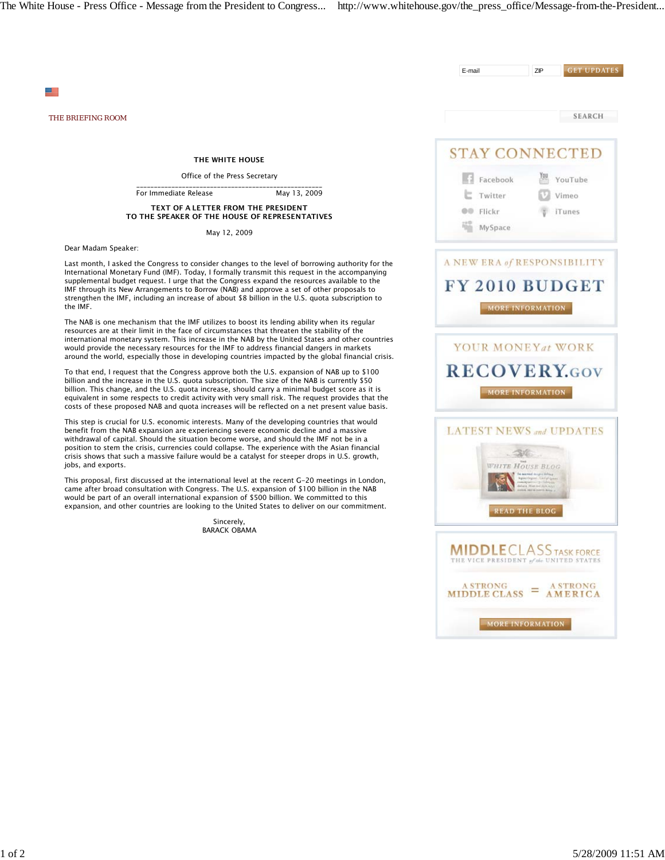